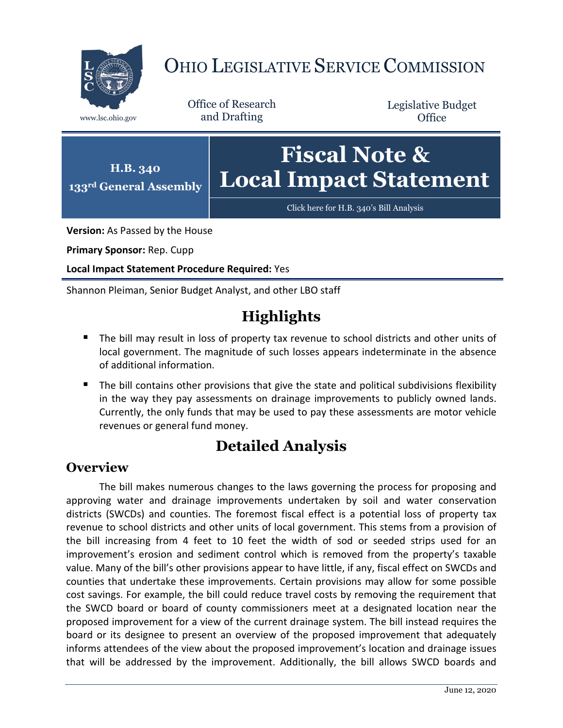

# OHIO LEGISLATIVE SERVICE COMMISSION

Office of Research www.lsc.ohio.gov and Drafting

Legislative Budget **Office** 



**Version:** As Passed by the House

**Primary Sponsor:** Rep. Cupp

**Local Impact Statement Procedure Required:** Yes

Shannon Pleiman, Senior Budget Analyst, and other LBO staff

# **Highlights**

- The bill may result in loss of property tax revenue to school districts and other units of local government. The magnitude of such losses appears indeterminate in the absence of additional information.
- The bill contains other provisions that give the state and political subdivisions flexibility in the way they pay assessments on drainage improvements to publicly owned lands. Currently, the only funds that may be used to pay these assessments are motor vehicle revenues or general fund money.

## **Detailed Analysis**

#### **Overview**

The bill makes numerous changes to the laws governing the process for proposing and approving water and drainage improvements undertaken by soil and water conservation districts (SWCDs) and counties. The foremost fiscal effect is a potential loss of property tax revenue to school districts and other units of local government. This stems from a provision of the bill increasing from 4 feet to 10 feet the width of sod or seeded strips used for an improvement's erosion and sediment control which is removed from the property's taxable value. Many of the bill's other provisions appear to have little, if any, fiscal effect on SWCDs and counties that undertake these improvements. Certain provisions may allow for some possible cost savings. For example, the bill could reduce travel costs by removing the requirement that the SWCD board or board of county commissioners meet at a designated location near the proposed improvement for a view of the current drainage system. The bill instead requires the board or its designee to present an overview of the proposed improvement that adequately informs attendees of the view about the proposed improvement's location and drainage issues that will be addressed by the improvement. Additionally, the bill allows SWCD boards and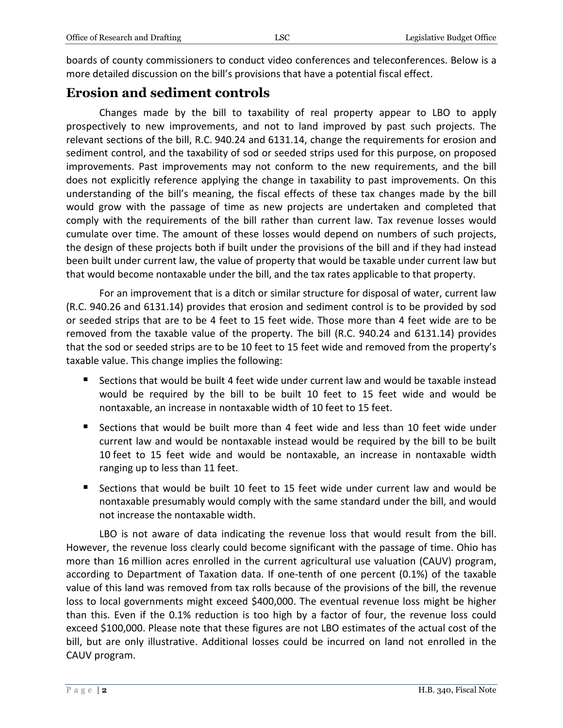boards of county commissioners to conduct video conferences and teleconferences. Below is a more detailed discussion on the bill's provisions that have a potential fiscal effect.

## **Erosion and sediment controls**

Changes made by the bill to taxability of real property appear to LBO to apply prospectively to new improvements, and not to land improved by past such projects. The relevant sections of the bill, R.C. 940.24 and 6131.14, change the requirements for erosion and sediment control, and the taxability of sod or seeded strips used for this purpose, on proposed improvements. Past improvements may not conform to the new requirements, and the bill does not explicitly reference applying the change in taxability to past improvements. On this understanding of the bill's meaning, the fiscal effects of these tax changes made by the bill would grow with the passage of time as new projects are undertaken and completed that comply with the requirements of the bill rather than current law. Tax revenue losses would cumulate over time. The amount of these losses would depend on numbers of such projects, the design of these projects both if built under the provisions of the bill and if they had instead been built under current law, the value of property that would be taxable under current law but that would become nontaxable under the bill, and the tax rates applicable to that property.

For an improvement that is a ditch or similar structure for disposal of water, current law (R.C. 940.26 and 6131.14) provides that erosion and sediment control is to be provided by sod or seeded strips that are to be 4 feet to 15 feet wide. Those more than 4 feet wide are to be removed from the taxable value of the property. The bill (R.C. 940.24 and 6131.14) provides that the sod or seeded strips are to be 10 feet to 15 feet wide and removed from the property's taxable value. This change implies the following:

- Sections that would be built 4 feet wide under current law and would be taxable instead would be required by the bill to be built 10 feet to 15 feet wide and would be nontaxable, an increase in nontaxable width of 10 feet to 15 feet.
- Sections that would be built more than 4 feet wide and less than 10 feet wide under current law and would be nontaxable instead would be required by the bill to be built 10 feet to 15 feet wide and would be nontaxable, an increase in nontaxable width ranging up to less than 11 feet.
- Sections that would be built 10 feet to 15 feet wide under current law and would be nontaxable presumably would comply with the same standard under the bill, and would not increase the nontaxable width.

LBO is not aware of data indicating the revenue loss that would result from the bill. However, the revenue loss clearly could become significant with the passage of time. Ohio has more than 16 million acres enrolled in the current agricultural use valuation (CAUV) program, according to Department of Taxation data. If one-tenth of one percent (0.1%) of the taxable value of this land was removed from tax rolls because of the provisions of the bill, the revenue loss to local governments might exceed \$400,000. The eventual revenue loss might be higher than this. Even if the 0.1% reduction is too high by a factor of four, the revenue loss could exceed \$100,000. Please note that these figures are not LBO estimates of the actual cost of the bill, but are only illustrative. Additional losses could be incurred on land not enrolled in the CAUV program.